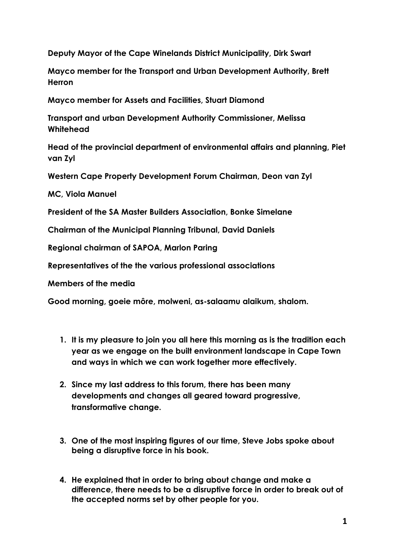**Deputy Mayor of the Cape Winelands District Municipality, Dirk Swart** 

**Mayco member for the Transport and Urban Development Authority, Brett Herron** 

**Mayco member for Assets and Facilities, Stuart Diamond** 

**Transport and urban Development Authority Commissioner, Melissa Whitehead**

**Head of the provincial department of environmental affairs and planning, Piet van Zyl** 

**Western Cape Property Development Forum Chairman, Deon van Zyl** 

**MC, Viola Manuel**

**President of the SA Master Builders Association, Bonke Simelane** 

**Chairman of the Municipal Planning Tribunal, David Daniels** 

**Regional chairman of SAPOA, Marlon Paring** 

**Representatives of the the various professional associations** 

**Members of the media** 

**Good morning, goeie môre, molweni, as-salaamu alaikum, shalom.**

- **1. It is my pleasure to join you all here this morning as is the tradition each year as we engage on the built environment landscape in Cape Town and ways in which we can work together more effectively.**
- **2. Since my last address to this forum, there has been many developments and changes all geared toward progressive, transformative change.**
- **3. One of the most inspiring figures of our time, Steve Jobs spoke about being a disruptive force in his book.**
- **4. He explained that in order to bring about change and make a difference, there needs to be a disruptive force in order to break out of the accepted norms set by other people for you.**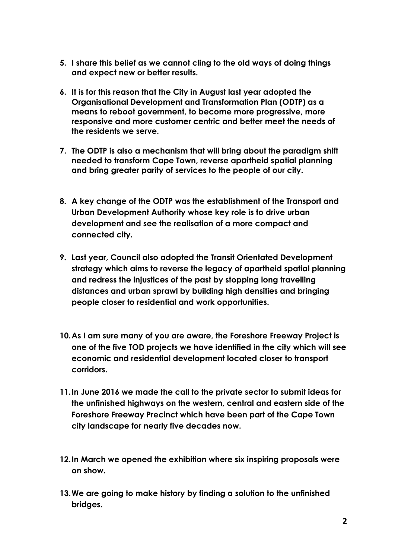- **5. I share this belief as we cannot cling to the old ways of doing things and expect new or better results.**
- **6. It is for this reason that the City in August last year adopted the Organisational Development and Transformation Plan (ODTP) as a means to reboot government, to become more progressive, more responsive and more customer centric and better meet the needs of the residents we serve.**
- **7. The ODTP is also a mechanism that will bring about the paradigm shift needed to transform Cape Town, reverse apartheid spatial planning and bring greater parity of services to the people of our city.**
- **8. A key change of the ODTP was the establishment of the Transport and Urban Development Authority whose key role is to drive urban development and see the realisation of a more compact and connected city.**
- **9. Last year, Council also adopted the Transit Orientated Development strategy which aims to reverse the legacy of apartheid spatial planning and redress the injustices of the past by stopping long travelling distances and urban sprawl by building high densities and bringing people closer to residential and work opportunities.**
- **10.As I am sure many of you are aware, the Foreshore Freeway Project is one of the five TOD projects we have identified in the city which will see economic and residential development located closer to transport corridors.**
- **11.In June 2016 we made the call to the private sector to submit ideas for the unfinished highways on the western, central and eastern side of the Foreshore Freeway Precinct which have been part of the Cape Town city landscape for nearly five decades now.**
- **12.In March we opened the exhibition where six inspiring proposals were on show.**
- **13.We are going to make history by finding a solution to the unfinished bridges.**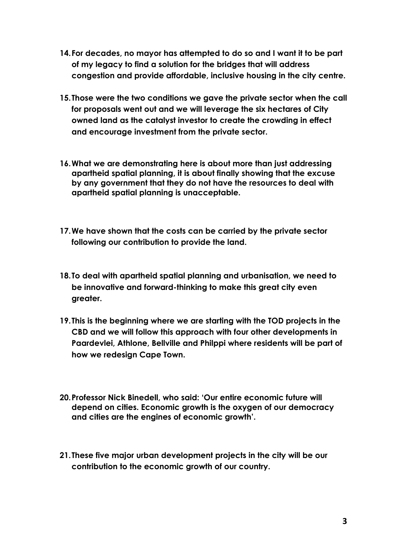- **14.For decades, no mayor has attempted to do so and I want it to be part of my legacy to find a solution for the bridges that will address congestion and provide affordable, inclusive housing in the city centre.**
- **15.Those were the two conditions we gave the private sector when the call for proposals went out and we will leverage the six hectares of City owned land as the catalyst investor to create the crowding in effect and encourage investment from the private sector.**
- **16.What we are demonstrating here is about more than just addressing apartheid spatial planning, it is about finally showing that the excuse by any government that they do not have the resources to deal with apartheid spatial planning is unacceptable.**
- **17.We have shown that the costs can be carried by the private sector following our contribution to provide the land.**
- **18.To deal with apartheid spatial planning and urbanisation, we need to be innovative and forward-thinking to make this great city even greater.**
- **19.This is the beginning where we are starting with the TOD projects in the CBD and we will follow this approach with four other developments in Paardevlei, Athlone, Bellville and Philppi where residents will be part of how we redesign Cape Town.**
- **20.Professor Nick Binedell, who said: 'Our entire economic future will depend on cities. Economic growth is the oxygen of our democracy and cities are the engines of economic growth'.**
- **21.These five major urban development projects in the city will be our contribution to the economic growth of our country.**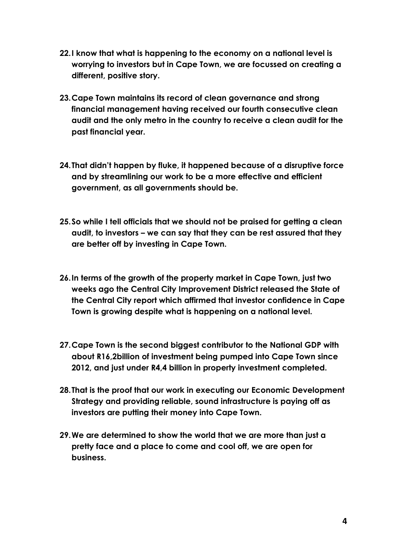- **22.I know that what is happening to the economy on a national level is worrying to investors but in Cape Town, we are focussed on creating a different, positive story.**
- **23.Cape Town maintains its record of clean governance and strong financial management having received our fourth consecutive clean audit and the only metro in the country to receive a clean audit for the past financial year.**
- **24.That didn't happen by fluke, it happened because of a disruptive force and by streamlining our work to be a more effective and efficient government, as all governments should be.**
- **25.So while I tell officials that we should not be praised for getting a clean audit, to investors – we can say that they can be rest assured that they are better off by investing in Cape Town.**
- **26.In terms of the growth of the property market in Cape Town, just two weeks ago the Central City Improvement District released the State of the Central City report which affirmed that investor confidence in Cape Town is growing despite what is happening on a national level.**
- **27.Cape Town is the second biggest contributor to the National GDP with about R16,2billion of investment being pumped into Cape Town since 2012, and just under R4,4 billion in property investment completed.**
- **28.That is the proof that our work in executing our Economic Development Strategy and providing reliable, sound infrastructure is paying off as investors are putting their money into Cape Town.**
- **29.We are determined to show the world that we are more than just a pretty face and a place to come and cool off, we are open for business.**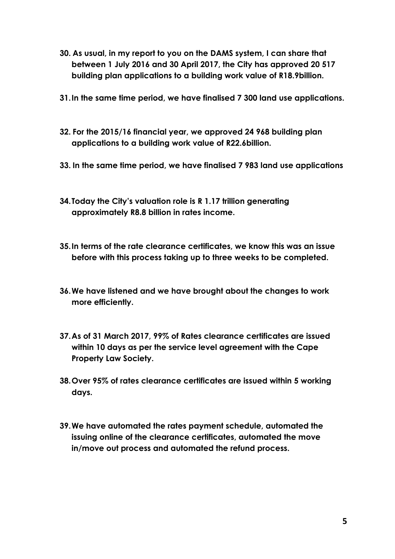- **30. As usual, in my report to you on the DAMS system, I can share that between 1 July 2016 and 30 April 2017, the City has approved 20 517 building plan applications to a building work value of R18.9billion.**
- **31.In the same time period, we have finalised 7 300 land use applications.**
- **32. For the 2015/16 financial year, we approved 24 968 building plan applications to a building work value of R22.6billion.**
- **33. In the same time period, we have finalised 7 983 land use applications**
- **34.Today the City's valuation role is R 1.17 trillion generating approximately R8.8 billion in rates income.**
- **35.In terms of the rate clearance certificates, we know this was an issue before with this process taking up to three weeks to be completed.**
- **36.We have listened and we have brought about the changes to work more efficiently.**
- **37.As of 31 March 2017, 99% of Rates clearance certificates are issued within 10 days as per the service level agreement with the Cape Property Law Society.**
- **38.Over 95% of rates clearance certificates are issued within 5 working days.**
- **39.We have automated the rates payment schedule, automated the issuing online of the clearance certificates, automated the move in/move out process and automated the refund process.**